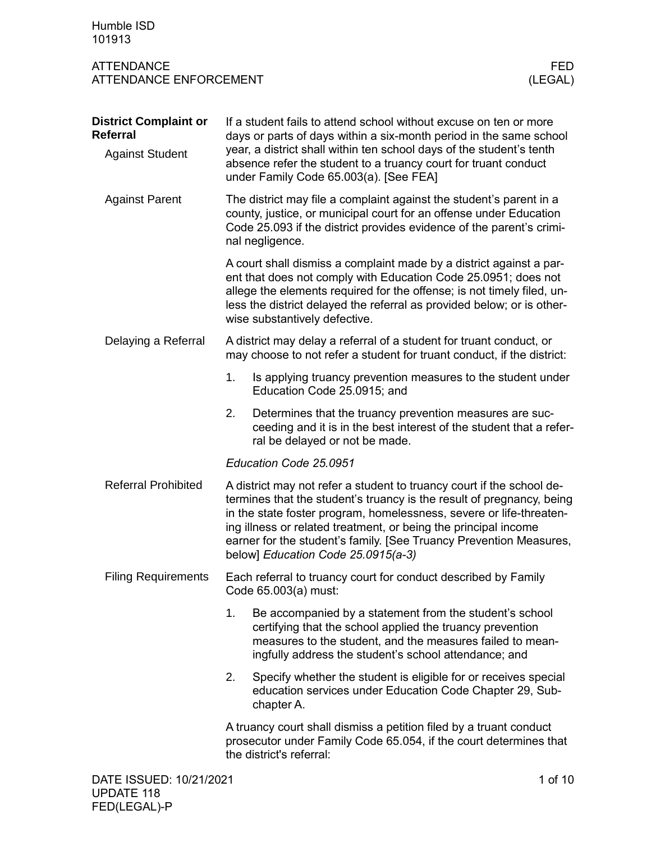| Humble ISD<br>101913                                                      |                                                                                                                                                                                                                                                                                                                                                                                                      |                 |  |  |  |  |
|---------------------------------------------------------------------------|------------------------------------------------------------------------------------------------------------------------------------------------------------------------------------------------------------------------------------------------------------------------------------------------------------------------------------------------------------------------------------------------------|-----------------|--|--|--|--|
| <b>ATTENDANCE</b><br><b>ATTENDANCE ENFORCEMENT</b>                        |                                                                                                                                                                                                                                                                                                                                                                                                      | FED.<br>(LEGAL) |  |  |  |  |
| <b>District Complaint or</b><br><b>Referral</b><br><b>Against Student</b> | If a student fails to attend school without excuse on ten or more<br>days or parts of days within a six-month period in the same school<br>year, a district shall within ten school days of the student's tenth<br>absence refer the student to a truancy court for truant conduct<br>under Family Code 65.003(a). [See FEA]                                                                         |                 |  |  |  |  |
| <b>Against Parent</b>                                                     | The district may file a complaint against the student's parent in a<br>county, justice, or municipal court for an offense under Education<br>Code 25.093 if the district provides evidence of the parent's crimi-<br>nal negligence.                                                                                                                                                                 |                 |  |  |  |  |
|                                                                           | A court shall dismiss a complaint made by a district against a par-<br>ent that does not comply with Education Code 25.0951; does not<br>allege the elements required for the offense; is not timely filed, un-<br>less the district delayed the referral as provided below; or is other-<br>wise substantively defective.                                                                           |                 |  |  |  |  |
| Delaying a Referral                                                       | A district may delay a referral of a student for truant conduct, or<br>may choose to not refer a student for truant conduct, if the district:                                                                                                                                                                                                                                                        |                 |  |  |  |  |
|                                                                           | 1.<br>Is applying truancy prevention measures to the student under<br>Education Code 25.0915; and                                                                                                                                                                                                                                                                                                    |                 |  |  |  |  |
|                                                                           | 2.<br>Determines that the truancy prevention measures are suc-<br>ceeding and it is in the best interest of the student that a refer-<br>ral be delayed or not be made.                                                                                                                                                                                                                              |                 |  |  |  |  |
|                                                                           | Education Code 25.0951                                                                                                                                                                                                                                                                                                                                                                               |                 |  |  |  |  |
| <b>Referral Prohibited</b>                                                | A district may not refer a student to truancy court if the school de-<br>termines that the student's truancy is the result of pregnancy, being<br>in the state foster program, homelessness, severe or life-threaten-<br>ing illness or related treatment, or being the principal income<br>earner for the student's family. [See Truancy Prevention Measures,<br>below] Education Code 25.0915(a-3) |                 |  |  |  |  |
| <b>Filing Requirements</b>                                                | Each referral to truancy court for conduct described by Family<br>Code 65.003(a) must:                                                                                                                                                                                                                                                                                                               |                 |  |  |  |  |
|                                                                           | 1.<br>Be accompanied by a statement from the student's school<br>certifying that the school applied the truancy prevention<br>measures to the student, and the measures failed to mean-<br>ingfully address the student's school attendance; and                                                                                                                                                     |                 |  |  |  |  |
|                                                                           | 2.<br>Specify whether the student is eligible for or receives special<br>education services under Education Code Chapter 29, Sub-<br>chapter A.                                                                                                                                                                                                                                                      |                 |  |  |  |  |
|                                                                           | A truancy court shall dismiss a petition filed by a truant conduct<br>prosecutor under Family Code 65.054, if the court determines that<br>the district's referral:                                                                                                                                                                                                                                  |                 |  |  |  |  |
| DATE ISSUED: 10/21/2021                                                   |                                                                                                                                                                                                                                                                                                                                                                                                      | 1 of 10         |  |  |  |  |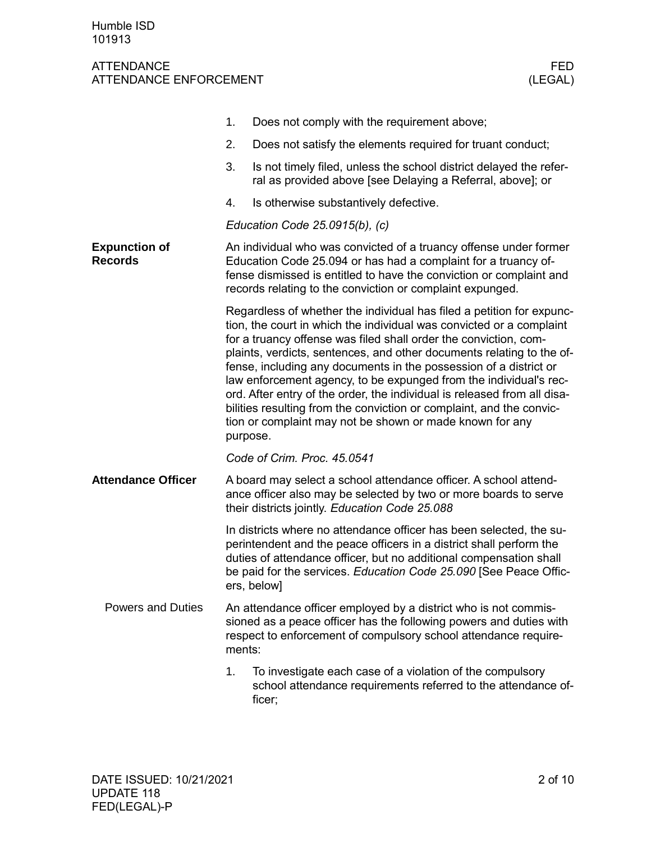|                                        | 1.                                                                                                                                                                                                                                                                      | Does not comply with the requirement above;                                                                                                                                                                                                                                                                                                                                                                                                                                                                                                                                                                                                          |  |  |  |  |  |
|----------------------------------------|-------------------------------------------------------------------------------------------------------------------------------------------------------------------------------------------------------------------------------------------------------------------------|------------------------------------------------------------------------------------------------------------------------------------------------------------------------------------------------------------------------------------------------------------------------------------------------------------------------------------------------------------------------------------------------------------------------------------------------------------------------------------------------------------------------------------------------------------------------------------------------------------------------------------------------------|--|--|--|--|--|
|                                        | 2.                                                                                                                                                                                                                                                                      | Does not satisfy the elements required for truant conduct;                                                                                                                                                                                                                                                                                                                                                                                                                                                                                                                                                                                           |  |  |  |  |  |
|                                        | 3.                                                                                                                                                                                                                                                                      | Is not timely filed, unless the school district delayed the refer-<br>ral as provided above [see Delaying a Referral, above]; or                                                                                                                                                                                                                                                                                                                                                                                                                                                                                                                     |  |  |  |  |  |
|                                        | 4.                                                                                                                                                                                                                                                                      | Is otherwise substantively defective.                                                                                                                                                                                                                                                                                                                                                                                                                                                                                                                                                                                                                |  |  |  |  |  |
|                                        | Education Code $25.0915(b)$ , (c)                                                                                                                                                                                                                                       |                                                                                                                                                                                                                                                                                                                                                                                                                                                                                                                                                                                                                                                      |  |  |  |  |  |
| <b>Expunction of</b><br><b>Records</b> | An individual who was convicted of a truancy offense under former<br>Education Code 25.094 or has had a complaint for a truancy of-<br>fense dismissed is entitled to have the conviction or complaint and<br>records relating to the conviction or complaint expunged. |                                                                                                                                                                                                                                                                                                                                                                                                                                                                                                                                                                                                                                                      |  |  |  |  |  |
|                                        | purpose.                                                                                                                                                                                                                                                                | Regardless of whether the individual has filed a petition for expunc-<br>tion, the court in which the individual was convicted or a complaint<br>for a truancy offense was filed shall order the conviction, com-<br>plaints, verdicts, sentences, and other documents relating to the of-<br>fense, including any documents in the possession of a district or<br>law enforcement agency, to be expunged from the individual's rec-<br>ord. After entry of the order, the individual is released from all disa-<br>bilities resulting from the conviction or complaint, and the convic-<br>tion or complaint may not be shown or made known for any |  |  |  |  |  |
|                                        | Code of Crim. Proc. 45.0541                                                                                                                                                                                                                                             |                                                                                                                                                                                                                                                                                                                                                                                                                                                                                                                                                                                                                                                      |  |  |  |  |  |
| <b>Attendance Officer</b>              | A board may select a school attendance officer. A school attend-<br>ance officer also may be selected by two or more boards to serve<br>their districts jointly. Education Code 25.088                                                                                  |                                                                                                                                                                                                                                                                                                                                                                                                                                                                                                                                                                                                                                                      |  |  |  |  |  |
|                                        | ers, below]                                                                                                                                                                                                                                                             | In districts where no attendance officer has been selected, the su-<br>perintendent and the peace officers in a district shall perform the<br>duties of attendance officer, but no additional compensation shall<br>be paid for the services. Education Code 25.090 [See Peace Offic-                                                                                                                                                                                                                                                                                                                                                                |  |  |  |  |  |
| <b>Powers and Duties</b>               | An attendance officer employed by a district who is not commis-<br>sioned as a peace officer has the following powers and duties with<br>respect to enforcement of compulsory school attendance require-<br>ments:                                                      |                                                                                                                                                                                                                                                                                                                                                                                                                                                                                                                                                                                                                                                      |  |  |  |  |  |
|                                        | 1.<br>ficer;                                                                                                                                                                                                                                                            | To investigate each case of a violation of the compulsory<br>school attendance requirements referred to the attendance of-                                                                                                                                                                                                                                                                                                                                                                                                                                                                                                                           |  |  |  |  |  |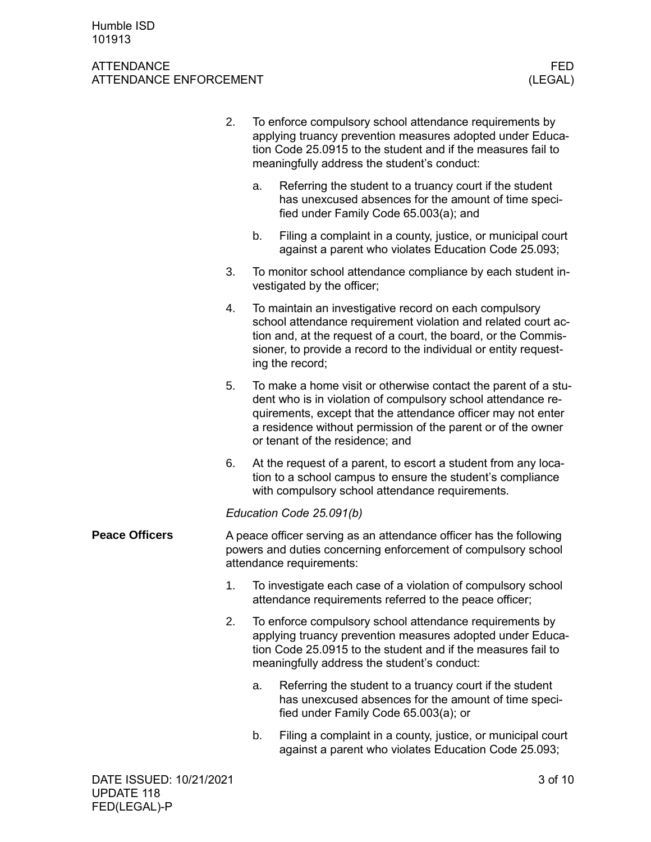|                       | 2.                                                                                                                                                              | To enforce compulsory school attendance requirements by<br>applying truancy prevention measures adopted under Educa-<br>tion Code 25.0915 to the student and if the measures fail to<br>meaningfully address the student's conduct:                                                               |                                                                                                                                                                                                                                     |  |  |  |  |
|-----------------------|-----------------------------------------------------------------------------------------------------------------------------------------------------------------|---------------------------------------------------------------------------------------------------------------------------------------------------------------------------------------------------------------------------------------------------------------------------------------------------|-------------------------------------------------------------------------------------------------------------------------------------------------------------------------------------------------------------------------------------|--|--|--|--|
|                       |                                                                                                                                                                 | a.                                                                                                                                                                                                                                                                                                | Referring the student to a truancy court if the student<br>has unexcused absences for the amount of time speci-<br>fied under Family Code 65.003(a); and                                                                            |  |  |  |  |
|                       |                                                                                                                                                                 | b.                                                                                                                                                                                                                                                                                                | Filing a complaint in a county, justice, or municipal court<br>against a parent who violates Education Code 25.093;                                                                                                                 |  |  |  |  |
|                       | 3.                                                                                                                                                              |                                                                                                                                                                                                                                                                                                   | To monitor school attendance compliance by each student in-<br>vestigated by the officer;                                                                                                                                           |  |  |  |  |
|                       | 4.                                                                                                                                                              | To maintain an investigative record on each compulsory<br>school attendance requirement violation and related court ac-<br>tion and, at the request of a court, the board, or the Commis-<br>sioner, to provide a record to the individual or entity request-<br>ing the record;                  |                                                                                                                                                                                                                                     |  |  |  |  |
|                       | 5.                                                                                                                                                              | To make a home visit or otherwise contact the parent of a stu-<br>dent who is in violation of compulsory school attendance re-<br>quirements, except that the attendance officer may not enter<br>a residence without permission of the parent or of the owner<br>or tenant of the residence; and |                                                                                                                                                                                                                                     |  |  |  |  |
|                       | 6.                                                                                                                                                              |                                                                                                                                                                                                                                                                                                   | At the request of a parent, to escort a student from any loca-<br>tion to a school campus to ensure the student's compliance<br>with compulsory school attendance requirements.                                                     |  |  |  |  |
|                       | Education Code 25.091(b)                                                                                                                                        |                                                                                                                                                                                                                                                                                                   |                                                                                                                                                                                                                                     |  |  |  |  |
| <b>Peace Officers</b> | A peace officer serving as an attendance officer has the following<br>powers and duties concerning enforcement of compulsory school<br>attendance requirements: |                                                                                                                                                                                                                                                                                                   |                                                                                                                                                                                                                                     |  |  |  |  |
|                       | 1.                                                                                                                                                              | To investigate each case of a violation of compulsory school<br>attendance requirements referred to the peace officer;                                                                                                                                                                            |                                                                                                                                                                                                                                     |  |  |  |  |
|                       | 2.                                                                                                                                                              |                                                                                                                                                                                                                                                                                                   | To enforce compulsory school attendance requirements by<br>applying truancy prevention measures adopted under Educa-<br>tion Code 25.0915 to the student and if the measures fail to<br>meaningfully address the student's conduct: |  |  |  |  |
|                       |                                                                                                                                                                 | a.                                                                                                                                                                                                                                                                                                | Referring the student to a truancy court if the student<br>has unexcused absences for the amount of time speci-<br>fied under Family Code 65.003(a); or                                                                             |  |  |  |  |
|                       |                                                                                                                                                                 | b.                                                                                                                                                                                                                                                                                                | Filing a complaint in a county, justice, or municipal court<br>against a parent who violates Education Code 25.093;                                                                                                                 |  |  |  |  |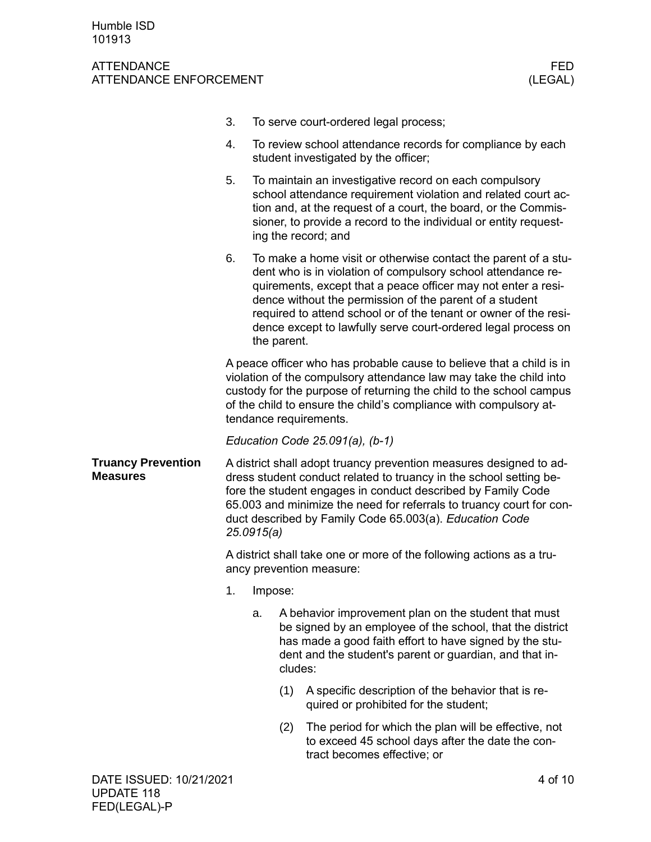|                                              | 3.                                                                                                                                                                                                                                                                                                                                                        |                                                                                                                                                                                                                                                                                                                                                                                                                |                                                                                                                                                                                                                                                    | To serve court-ordered legal process;                                                                                                                                                                                                                                                |  |  |
|----------------------------------------------|-----------------------------------------------------------------------------------------------------------------------------------------------------------------------------------------------------------------------------------------------------------------------------------------------------------------------------------------------------------|----------------------------------------------------------------------------------------------------------------------------------------------------------------------------------------------------------------------------------------------------------------------------------------------------------------------------------------------------------------------------------------------------------------|----------------------------------------------------------------------------------------------------------------------------------------------------------------------------------------------------------------------------------------------------|--------------------------------------------------------------------------------------------------------------------------------------------------------------------------------------------------------------------------------------------------------------------------------------|--|--|
|                                              | 4.                                                                                                                                                                                                                                                                                                                                                        |                                                                                                                                                                                                                                                                                                                                                                                                                | To review school attendance records for compliance by each<br>student investigated by the officer;                                                                                                                                                 |                                                                                                                                                                                                                                                                                      |  |  |
|                                              | 5.                                                                                                                                                                                                                                                                                                                                                        |                                                                                                                                                                                                                                                                                                                                                                                                                |                                                                                                                                                                                                                                                    | To maintain an investigative record on each compulsory<br>school attendance requirement violation and related court ac-<br>tion and, at the request of a court, the board, or the Commis-<br>sioner, to provide a record to the individual or entity request-<br>ing the record; and |  |  |
|                                              | 6.                                                                                                                                                                                                                                                                                                                                                        | To make a home visit or otherwise contact the parent of a stu-<br>dent who is in violation of compulsory school attendance re-<br>quirements, except that a peace officer may not enter a resi-<br>dence without the permission of the parent of a student<br>required to attend school or of the tenant or owner of the resi-<br>dence except to lawfully serve court-ordered legal process on<br>the parent. |                                                                                                                                                                                                                                                    |                                                                                                                                                                                                                                                                                      |  |  |
|                                              | A peace officer who has probable cause to believe that a child is in<br>violation of the compulsory attendance law may take the child into<br>custody for the purpose of returning the child to the school campus<br>of the child to ensure the child's compliance with compulsory at-<br>tendance requirements.                                          |                                                                                                                                                                                                                                                                                                                                                                                                                |                                                                                                                                                                                                                                                    |                                                                                                                                                                                                                                                                                      |  |  |
|                                              | Education Code $25.091(a)$ , (b-1)                                                                                                                                                                                                                                                                                                                        |                                                                                                                                                                                                                                                                                                                                                                                                                |                                                                                                                                                                                                                                                    |                                                                                                                                                                                                                                                                                      |  |  |
| <b>Truancy Prevention</b><br><b>Measures</b> | A district shall adopt truancy prevention measures designed to ad-<br>dress student conduct related to truancy in the school setting be-<br>fore the student engages in conduct described by Family Code<br>65.003 and minimize the need for referrals to truancy court for con-<br>duct described by Family Code 65.003(a). Education Code<br>25.0915(a) |                                                                                                                                                                                                                                                                                                                                                                                                                |                                                                                                                                                                                                                                                    |                                                                                                                                                                                                                                                                                      |  |  |
|                                              | A district shall take one or more of the following actions as a tru-<br>ancy prevention measure:                                                                                                                                                                                                                                                          |                                                                                                                                                                                                                                                                                                                                                                                                                |                                                                                                                                                                                                                                                    |                                                                                                                                                                                                                                                                                      |  |  |
|                                              |                                                                                                                                                                                                                                                                                                                                                           | 1. Impose:                                                                                                                                                                                                                                                                                                                                                                                                     |                                                                                                                                                                                                                                                    |                                                                                                                                                                                                                                                                                      |  |  |
|                                              |                                                                                                                                                                                                                                                                                                                                                           | a.                                                                                                                                                                                                                                                                                                                                                                                                             | A behavior improvement plan on the student that must<br>be signed by an employee of the school, that the district<br>has made a good faith effort to have signed by the stu-<br>dent and the student's parent or guardian, and that in-<br>cludes: |                                                                                                                                                                                                                                                                                      |  |  |
|                                              |                                                                                                                                                                                                                                                                                                                                                           |                                                                                                                                                                                                                                                                                                                                                                                                                | (1)                                                                                                                                                                                                                                                | A specific description of the behavior that is re-<br>quired or prohibited for the student;                                                                                                                                                                                          |  |  |
|                                              |                                                                                                                                                                                                                                                                                                                                                           |                                                                                                                                                                                                                                                                                                                                                                                                                | (2)                                                                                                                                                                                                                                                | The period for which the plan will be effective, not<br>to exceed 45 school days after the date the con-<br>tract becomes effective; or                                                                                                                                              |  |  |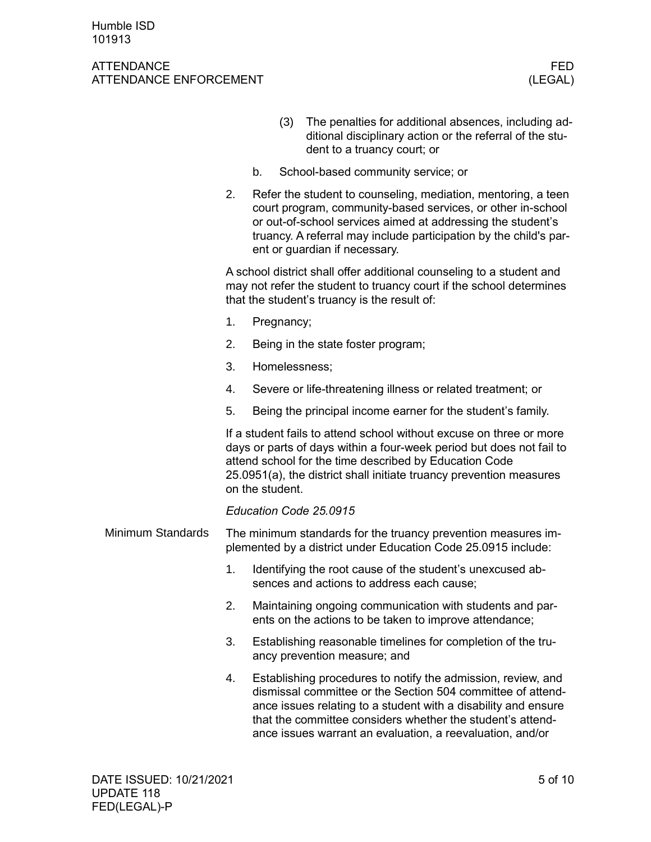|                   |                                                                                                                                |                                                                                                                                                                                                                                                                                                   | (3)                                                                                                                |                                                                                              | The penalties for additional absences, including ad-<br>ditional disciplinary action or the referral of the stu-<br>dent to a truancy court; or                                                                                                                                                                          |  |  |  |  |  |
|-------------------|--------------------------------------------------------------------------------------------------------------------------------|---------------------------------------------------------------------------------------------------------------------------------------------------------------------------------------------------------------------------------------------------------------------------------------------------|--------------------------------------------------------------------------------------------------------------------|----------------------------------------------------------------------------------------------|--------------------------------------------------------------------------------------------------------------------------------------------------------------------------------------------------------------------------------------------------------------------------------------------------------------------------|--|--|--|--|--|
|                   |                                                                                                                                | b.                                                                                                                                                                                                                                                                                                |                                                                                                                    |                                                                                              | School-based community service; or                                                                                                                                                                                                                                                                                       |  |  |  |  |  |
|                   | 2.                                                                                                                             | Refer the student to counseling, mediation, mentoring, a teen<br>court program, community-based services, or other in-school<br>or out-of-school services aimed at addressing the student's<br>truancy. A referral may include participation by the child's par-<br>ent or guardian if necessary. |                                                                                                                    |                                                                                              |                                                                                                                                                                                                                                                                                                                          |  |  |  |  |  |
|                   |                                                                                                                                | A school district shall offer additional counseling to a student and<br>may not refer the student to truancy court if the school determines<br>that the student's truancy is the result of:                                                                                                       |                                                                                                                    |                                                                                              |                                                                                                                                                                                                                                                                                                                          |  |  |  |  |  |
|                   | 1.                                                                                                                             | Pregnancy;                                                                                                                                                                                                                                                                                        |                                                                                                                    |                                                                                              |                                                                                                                                                                                                                                                                                                                          |  |  |  |  |  |
|                   | 2.                                                                                                                             | Being in the state foster program;                                                                                                                                                                                                                                                                |                                                                                                                    |                                                                                              |                                                                                                                                                                                                                                                                                                                          |  |  |  |  |  |
|                   | 3.                                                                                                                             | Homelessness;                                                                                                                                                                                                                                                                                     |                                                                                                                    |                                                                                              |                                                                                                                                                                                                                                                                                                                          |  |  |  |  |  |
|                   | 4.                                                                                                                             | Severe or life-threatening illness or related treatment; or                                                                                                                                                                                                                                       |                                                                                                                    |                                                                                              |                                                                                                                                                                                                                                                                                                                          |  |  |  |  |  |
|                   | 5.                                                                                                                             | Being the principal income earner for the student's family.                                                                                                                                                                                                                                       |                                                                                                                    |                                                                                              |                                                                                                                                                                                                                                                                                                                          |  |  |  |  |  |
|                   |                                                                                                                                |                                                                                                                                                                                                                                                                                                   | on the student.                                                                                                    |                                                                                              | If a student fails to attend school without excuse on three or more<br>days or parts of days within a four-week period but does not fail to<br>attend school for the time described by Education Code<br>25.0951(a), the district shall initiate truancy prevention measures                                             |  |  |  |  |  |
|                   |                                                                                                                                | Education Code 25.0915                                                                                                                                                                                                                                                                            |                                                                                                                    |                                                                                              |                                                                                                                                                                                                                                                                                                                          |  |  |  |  |  |
| Minimum Standards | The minimum standards for the truancy prevention measures im-<br>plemented by a district under Education Code 25.0915 include: |                                                                                                                                                                                                                                                                                                   |                                                                                                                    |                                                                                              |                                                                                                                                                                                                                                                                                                                          |  |  |  |  |  |
|                   | 1.                                                                                                                             |                                                                                                                                                                                                                                                                                                   |                                                                                                                    |                                                                                              | Identifying the root cause of the student's unexcused ab-<br>sences and actions to address each cause;                                                                                                                                                                                                                   |  |  |  |  |  |
|                   | 2.                                                                                                                             |                                                                                                                                                                                                                                                                                                   | Maintaining ongoing communication with students and par-<br>ents on the actions to be taken to improve attendance; |                                                                                              |                                                                                                                                                                                                                                                                                                                          |  |  |  |  |  |
|                   | 3.                                                                                                                             |                                                                                                                                                                                                                                                                                                   |                                                                                                                    | Establishing reasonable timelines for completion of the tru-<br>ancy prevention measure; and |                                                                                                                                                                                                                                                                                                                          |  |  |  |  |  |
|                   | 4.                                                                                                                             |                                                                                                                                                                                                                                                                                                   |                                                                                                                    |                                                                                              | Establishing procedures to notify the admission, review, and<br>dismissal committee or the Section 504 committee of attend-<br>ance issues relating to a student with a disability and ensure<br>that the committee considers whether the student's attend-<br>ance issues warrant an evaluation, a reevaluation, and/or |  |  |  |  |  |
|                   |                                                                                                                                |                                                                                                                                                                                                                                                                                                   |                                                                                                                    |                                                                                              |                                                                                                                                                                                                                                                                                                                          |  |  |  |  |  |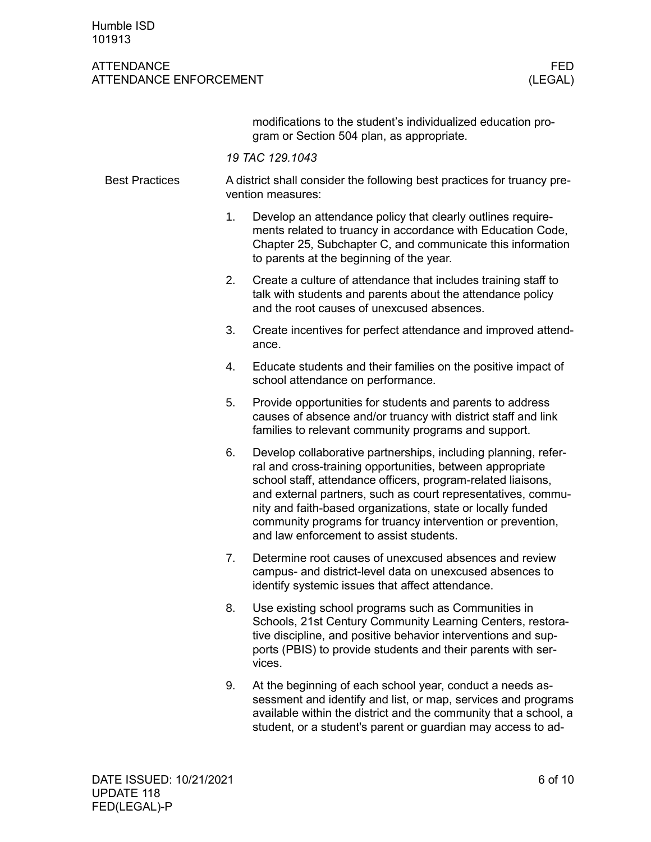## ATTENDANCE FED ATTENDANCE ENFORCEMENT (LEGAL)

modifications to the student's individualized education program or Section 504 plan, as appropriate.

*19 TAC 129.1043*

| <b>Best Practices</b> |                | A district shall consider the following best practices for truancy pre-<br>vention measures:                                                                                                                                                                                                                                                                                                                                        |  |  |  |  |  |
|-----------------------|----------------|-------------------------------------------------------------------------------------------------------------------------------------------------------------------------------------------------------------------------------------------------------------------------------------------------------------------------------------------------------------------------------------------------------------------------------------|--|--|--|--|--|
|                       | 1 <sub>1</sub> | Develop an attendance policy that clearly outlines require-<br>ments related to truancy in accordance with Education Code,<br>Chapter 25, Subchapter C, and communicate this information<br>to parents at the beginning of the year.                                                                                                                                                                                                |  |  |  |  |  |
|                       | 2.             | Create a culture of attendance that includes training staff to<br>talk with students and parents about the attendance policy<br>and the root causes of unexcused absences.                                                                                                                                                                                                                                                          |  |  |  |  |  |
|                       | 3.             | Create incentives for perfect attendance and improved attend-<br>ance.                                                                                                                                                                                                                                                                                                                                                              |  |  |  |  |  |
|                       | 4.             | Educate students and their families on the positive impact of<br>school attendance on performance.                                                                                                                                                                                                                                                                                                                                  |  |  |  |  |  |
|                       | 5.             | Provide opportunities for students and parents to address<br>causes of absence and/or truancy with district staff and link<br>families to relevant community programs and support.                                                                                                                                                                                                                                                  |  |  |  |  |  |
|                       | 6.             | Develop collaborative partnerships, including planning, refer-<br>ral and cross-training opportunities, between appropriate<br>school staff, attendance officers, program-related liaisons,<br>and external partners, such as court representatives, commu-<br>nity and faith-based organizations, state or locally funded<br>community programs for truancy intervention or prevention,<br>and law enforcement to assist students. |  |  |  |  |  |
|                       | 7.             | Determine root causes of unexcused absences and review<br>campus- and district-level data on unexcused absences to<br>identify systemic issues that affect attendance.                                                                                                                                                                                                                                                              |  |  |  |  |  |
|                       | 8.             | Use existing school programs such as Communities in<br>Schools, 21st Century Community Learning Centers, restora-<br>tive discipline, and positive behavior interventions and sup-<br>ports (PBIS) to provide students and their parents with ser-<br>vices.                                                                                                                                                                        |  |  |  |  |  |
|                       | 9.             | At the beginning of each school year, conduct a needs as-<br>sessment and identify and list or man services and programs                                                                                                                                                                                                                                                                                                            |  |  |  |  |  |

sessment and identify and list, or map, services and programs available within the district and the community that a school, a student, or a student's parent or guardian may access to ad-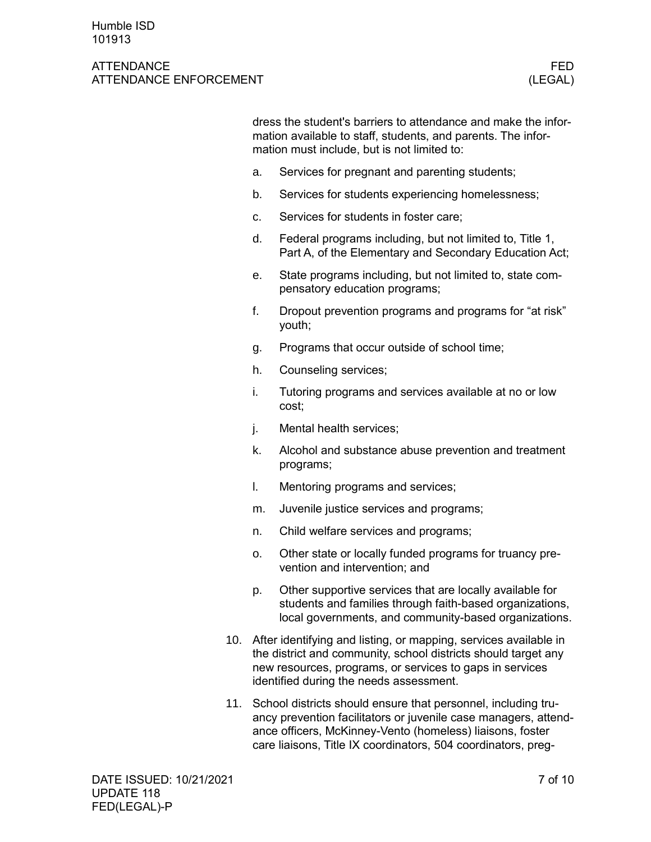#### ATTENDANCE FEDERAL EXPERIMENT WAS SERVED FOR A SERVED OF THE SERVED OF THE SERVED OF THE SERVED OF THE SERVED OF THE SERVED OF THE SERVED OF THE SERVED OF THE SERVED OF THE SERVED OF THE SERVED OF THE SERVED OF THE SERVED ATTENDANCE ENFORCEMENT (LEGAL)

dress the student's barriers to attendance and make the information available to staff, students, and parents. The information must include, but is not limited to:

- a. Services for pregnant and parenting students;
- b. Services for students experiencing homelessness;
- c. Services for students in foster care;
- d. Federal programs including, but not limited to, Title 1, Part A, of the Elementary and Secondary Education Act;
- e. State programs including, but not limited to, state compensatory education programs;
- f. Dropout prevention programs and programs for "at risk" youth;
- g. Programs that occur outside of school time;
- h. Counseling services;
- i. Tutoring programs and services available at no or low cost;
- j. Mental health services;
- k. Alcohol and substance abuse prevention and treatment programs;
- l. Mentoring programs and services;
- m. Juvenile justice services and programs;
- n. Child welfare services and programs;
- o. Other state or locally funded programs for truancy prevention and intervention; and
- p. Other supportive services that are locally available for students and families through faith-based organizations, local governments, and community-based organizations.
- 10. After identifying and listing, or mapping, services available in the district and community, school districts should target any new resources, programs, or services to gaps in services identified during the needs assessment.
- 11. School districts should ensure that personnel, including truancy prevention facilitators or juvenile case managers, attendance officers, McKinney-Vento (homeless) liaisons, foster care liaisons, Title IX coordinators, 504 coordinators, preg-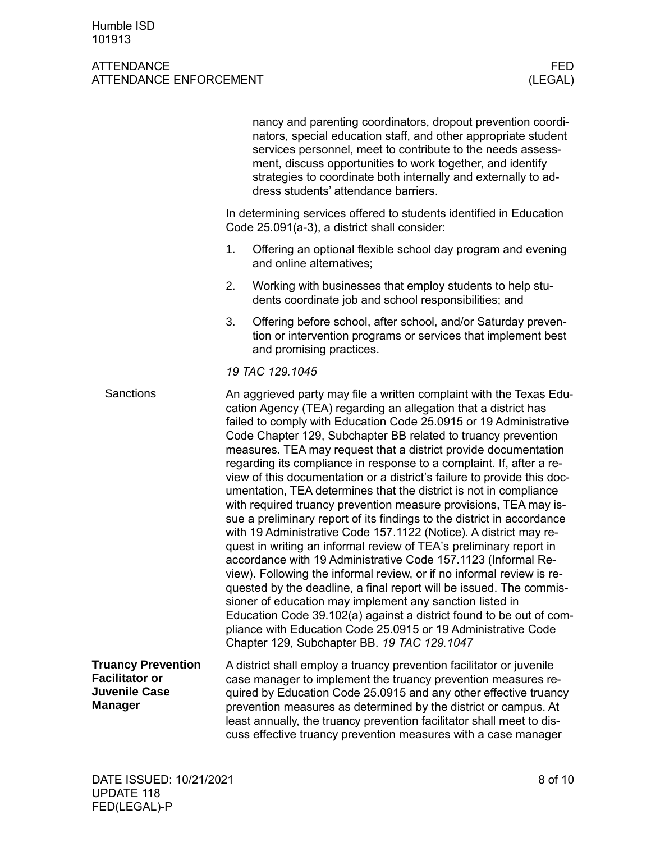|                                                                                              |                                                                                                                     | nancy and parenting coordinators, dropout prevention coordi-<br>nators, special education staff, and other appropriate student<br>services personnel, meet to contribute to the needs assess-<br>ment, discuss opportunities to work together, and identify<br>strategies to coordinate both internally and externally to ad-<br>dress students' attendance barriers.                                                                                                                                                                                                                                                                                                                                                                                                                                                                                                                                                                                                                                                                                                                                                                                                                                                                                                                                                                |  |  |  |  |
|----------------------------------------------------------------------------------------------|---------------------------------------------------------------------------------------------------------------------|--------------------------------------------------------------------------------------------------------------------------------------------------------------------------------------------------------------------------------------------------------------------------------------------------------------------------------------------------------------------------------------------------------------------------------------------------------------------------------------------------------------------------------------------------------------------------------------------------------------------------------------------------------------------------------------------------------------------------------------------------------------------------------------------------------------------------------------------------------------------------------------------------------------------------------------------------------------------------------------------------------------------------------------------------------------------------------------------------------------------------------------------------------------------------------------------------------------------------------------------------------------------------------------------------------------------------------------|--|--|--|--|
|                                                                                              | In determining services offered to students identified in Education<br>Code 25.091(a-3), a district shall consider: |                                                                                                                                                                                                                                                                                                                                                                                                                                                                                                                                                                                                                                                                                                                                                                                                                                                                                                                                                                                                                                                                                                                                                                                                                                                                                                                                      |  |  |  |  |
|                                                                                              | 1.                                                                                                                  | Offering an optional flexible school day program and evening<br>and online alternatives;                                                                                                                                                                                                                                                                                                                                                                                                                                                                                                                                                                                                                                                                                                                                                                                                                                                                                                                                                                                                                                                                                                                                                                                                                                             |  |  |  |  |
|                                                                                              | 2.                                                                                                                  | Working with businesses that employ students to help stu-<br>dents coordinate job and school responsibilities; and                                                                                                                                                                                                                                                                                                                                                                                                                                                                                                                                                                                                                                                                                                                                                                                                                                                                                                                                                                                                                                                                                                                                                                                                                   |  |  |  |  |
|                                                                                              | 3.                                                                                                                  | Offering before school, after school, and/or Saturday preven-<br>tion or intervention programs or services that implement best<br>and promising practices.                                                                                                                                                                                                                                                                                                                                                                                                                                                                                                                                                                                                                                                                                                                                                                                                                                                                                                                                                                                                                                                                                                                                                                           |  |  |  |  |
|                                                                                              |                                                                                                                     | 19 TAC 129.1045                                                                                                                                                                                                                                                                                                                                                                                                                                                                                                                                                                                                                                                                                                                                                                                                                                                                                                                                                                                                                                                                                                                                                                                                                                                                                                                      |  |  |  |  |
| Sanctions                                                                                    |                                                                                                                     | An aggrieved party may file a written complaint with the Texas Edu-<br>cation Agency (TEA) regarding an allegation that a district has<br>failed to comply with Education Code 25.0915 or 19 Administrative<br>Code Chapter 129, Subchapter BB related to truancy prevention<br>measures. TEA may request that a district provide documentation<br>regarding its compliance in response to a complaint. If, after a re-<br>view of this documentation or a district's failure to provide this doc-<br>umentation, TEA determines that the district is not in compliance<br>with required truancy prevention measure provisions, TEA may is-<br>sue a preliminary report of its findings to the district in accordance<br>with 19 Administrative Code 157.1122 (Notice). A district may re-<br>quest in writing an informal review of TEA's preliminary report in<br>accordance with 19 Administrative Code 157.1123 (Informal Re-<br>view). Following the informal review, or if no informal review is re-<br>quested by the deadline, a final report will be issued. The commis-<br>sioner of education may implement any sanction listed in<br>Education Code 39.102(a) against a district found to be out of com-<br>pliance with Education Code 25.0915 or 19 Administrative Code<br>Chapter 129, Subchapter BB. 19 TAC 129.1047 |  |  |  |  |
| <b>Truancy Prevention</b><br><b>Facilitator or</b><br><b>Juvenile Case</b><br><b>Manager</b> |                                                                                                                     | A district shall employ a truancy prevention facilitator or juvenile<br>case manager to implement the truancy prevention measures re-<br>quired by Education Code 25.0915 and any other effective truancy<br>prevention measures as determined by the district or campus. At<br>least annually, the truancy prevention facilitator shall meet to dis-<br>cuss effective truancy prevention measures with a case manager                                                                                                                                                                                                                                                                                                                                                                                                                                                                                                                                                                                                                                                                                                                                                                                                                                                                                                              |  |  |  |  |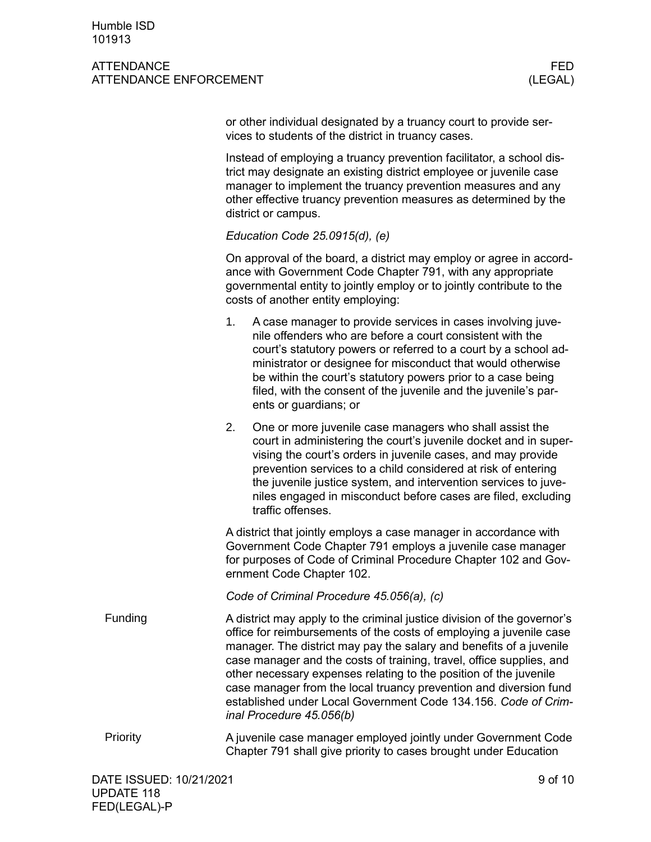## ATTENDANCE FEDERAL EXPERIMENT WAS SERVED FOR A SERVED OF THE SERVED OF THE SERVED OF THE SERVED OF THE SERVED OF THE SERVED OF THE SERVED OF THE SERVED OF THE SERVED OF THE SERVED OF THE SERVED OF THE SERVED OF THE SERVED ATTENDANCE ENFORCEMENT **ATTENDANCE** CHECKLINE

or other individual designated by a truancy court to provide services to students of the district in truancy cases.

Instead of employing a truancy prevention facilitator, a school district may designate an existing district employee or juvenile case manager to implement the truancy prevention measures and any other effective truancy prevention measures as determined by the district or campus.

## *Education Code 25.0915(d), (e)*

On approval of the board, a district may employ or agree in accordance with Government Code Chapter 791, with any appropriate governmental entity to jointly employ or to jointly contribute to the costs of another entity employing:

- 1. A case manager to provide services in cases involving juvenile offenders who are before a court consistent with the court's statutory powers or referred to a court by a school administrator or designee for misconduct that would otherwise be within the court's statutory powers prior to a case being filed, with the consent of the juvenile and the juvenile's parents or guardians; or
- 2. One or more juvenile case managers who shall assist the court in administering the court's juvenile docket and in supervising the court's orders in juvenile cases, and may provide prevention services to a child considered at risk of entering the juvenile justice system, and intervention services to juveniles engaged in misconduct before cases are filed, excluding traffic offenses.

A district that jointly employs a case manager in accordance with Government Code Chapter 791 employs a juvenile case manager for purposes of Code of Criminal Procedure Chapter 102 and Government Code Chapter 102.

*Code of Criminal Procedure 45.056(a), (c)*

- A district may apply to the criminal justice division of the governor's office for reimbursements of the costs of employing a juvenile case manager. The district may pay the salary and benefits of a juvenile case manager and the costs of training, travel, office supplies, and other necessary expenses relating to the position of the juvenile case manager from the local truancy prevention and diversion fund established under Local Government Code 134.156. *Code of Criminal Procedure 45.056(b)* Funding
- A juvenile case manager employed jointly under Government Code Chapter 791 shall give priority to cases brought under Education Priority